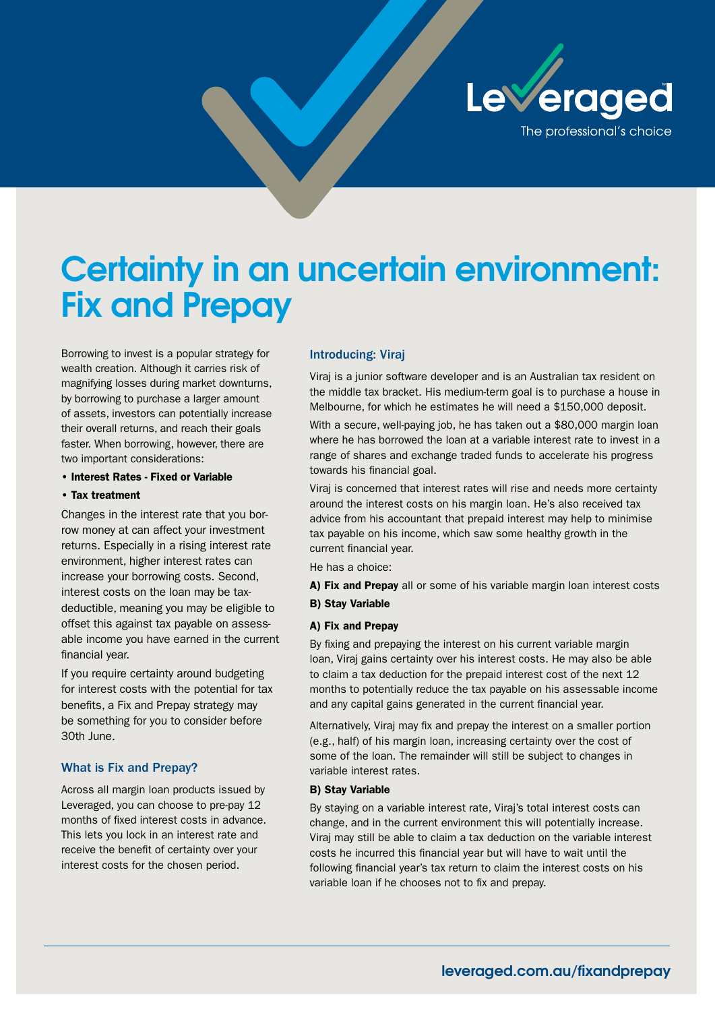

# **Certainty in an uncertain environment: Fix and Prepay**

Borrowing to invest is a popular strategy for wealth creation. Although it carries risk of magnifying losses during market downturns, by borrowing to purchase a larger amount of assets, investors can potentially increase their overall returns, and reach their goals faster. When borrowing, however, there are two important considerations:

#### • Interest Rates - Fixed or Variable

#### • Tax treatment

Changes in the interest rate that you borrow money at can affect your investment returns. Especially in a rising interest rate environment, higher interest rates can increase your borrowing costs. Second, interest costs on the loan may be taxdeductible, meaning you may be eligible to offset this against tax payable on assessable income you have earned in the current financial year.

If you require certainty around budgeting for interest costs with the potential for tax benefits, a Fix and Prepay strategy may be something for you to consider before 30th June.

## What is Fix and Prepay?

Across all margin loan products issued by Leveraged, you can choose to pre-pay 12 months of fixed interest costs in advance. This lets you lock in an interest rate and receive the benefit of certainty over your interest costs for the chosen period.

### Introducing: Viraj

Viraj is a junior software developer and is an Australian tax resident on the middle tax bracket. His medium-term goal is to purchase a house in Melbourne, for which he estimates he will need a \$150,000 deposit.

With a secure, well-paying job, he has taken out a \$80,000 margin loan where he has borrowed the loan at a variable interest rate to invest in a range of shares and exchange traded funds to accelerate his progress towards his financial goal.

Viraj is concerned that interest rates will rise and needs more certainty around the interest costs on his margin loan. He's also received tax advice from his accountant that prepaid interest may help to minimise tax payable on his income, which saw some healthy growth in the current financial year.

He has a choice:

A) Fix and Prepay all or some of his variable margin loan interest costs

B) Stay Variable

#### A) Fix and Prepay

By fixing and prepaying the interest on his current variable margin loan, Viraj gains certainty over his interest costs. He may also be able to claim a tax deduction for the prepaid interest cost of the next 12 months to potentially reduce the tax payable on his assessable income and any capital gains generated in the current financial year.

Alternatively, Viraj may fix and prepay the interest on a smaller portion (e.g., half) of his margin loan, increasing certainty over the cost of some of the loan. The remainder will still be subject to changes in variable interest rates.

#### B) Stay Variable

By staying on a variable interest rate, Viraj's total interest costs can change, and in the current environment this will potentially increase. Viraj may still be able to claim a tax deduction on the variable interest costs he incurred this financial year but will have to wait until the following financial year's tax return to claim the interest costs on his variable loan if he chooses not to fix and prepay.